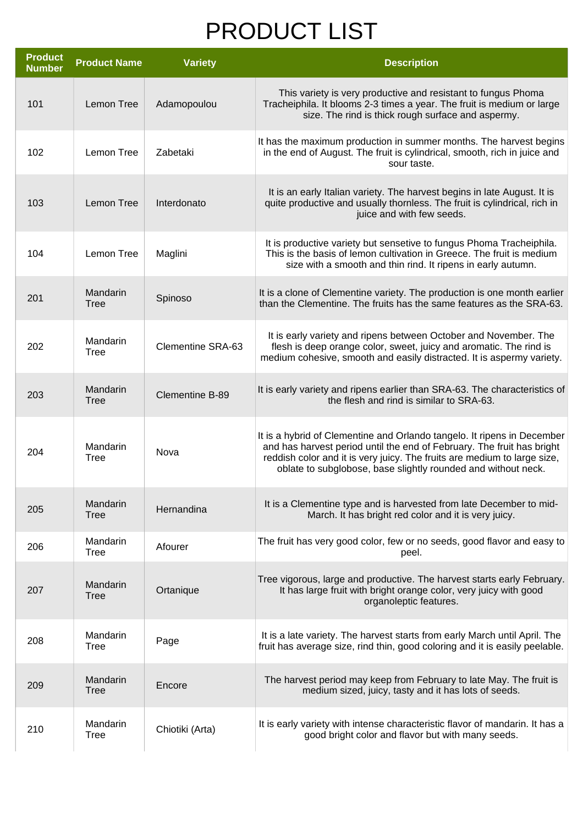## PRODUCT LIST

| <b>Product</b><br><b>Number</b> | <b>Product Name</b>     | <b>Variety</b>           | <b>Description</b>                                                                                                                                                                                                                                                                             |
|---------------------------------|-------------------------|--------------------------|------------------------------------------------------------------------------------------------------------------------------------------------------------------------------------------------------------------------------------------------------------------------------------------------|
| 101                             | Lemon Tree              | Adamopoulou              | This variety is very productive and resistant to fungus Phoma<br>Tracheiphila. It blooms 2-3 times a year. The fruit is medium or large<br>size. The rind is thick rough surface and aspermy.                                                                                                  |
| 102                             | Lemon Tree              | Zabetaki                 | It has the maximum production in summer months. The harvest begins<br>in the end of August. The fruit is cylindrical, smooth, rich in juice and<br>sour taste.                                                                                                                                 |
| 103                             | Lemon Tree              | Interdonato              | It is an early Italian variety. The harvest begins in late August. It is<br>quite productive and usually thornless. The fruit is cylindrical, rich in<br>juice and with few seeds.                                                                                                             |
| 104                             | Lemon Tree              | Maglini                  | It is productive variety but sensetive to fungus Phoma Tracheiphila.<br>This is the basis of lemon cultivation in Greece. The fruit is medium<br>size with a smooth and thin rind. It ripens in early autumn.                                                                                  |
| 201                             | Mandarin<br><b>Tree</b> | Spinoso                  | It is a clone of Clementine variety. The production is one month earlier<br>than the Clementine. The fruits has the same features as the SRA-63.                                                                                                                                               |
| 202                             | Mandarin<br><b>Tree</b> | <b>Clementine SRA-63</b> | It is early variety and ripens between October and November. The<br>flesh is deep orange color, sweet, juicy and aromatic. The rind is<br>medium cohesive, smooth and easily distracted. It is aspermy variety.                                                                                |
| 203                             | Mandarin<br><b>Tree</b> | <b>Clementine B-89</b>   | It is early variety and ripens earlier than SRA-63. The characteristics of<br>the flesh and rind is similar to SRA-63.                                                                                                                                                                         |
| 204                             | Mandarin<br><b>Tree</b> | Nova                     | It is a hybrid of Clementine and Orlando tangelo. It ripens in December<br>and has harvest period until the end of February. The fruit has bright<br>reddish color and it is very juicy. The fruits are medium to large size,<br>oblate to subglobose, base slightly rounded and without neck. |
| 205                             | Mandarin<br><b>Tree</b> | Hernandina               | It is a Clementine type and is harvested from late December to mid-<br>March. It has bright red color and it is very juicy.                                                                                                                                                                    |
| 206                             | Mandarin<br><b>Tree</b> | Afourer                  | The fruit has very good color, few or no seeds, good flavor and easy to<br>peel.                                                                                                                                                                                                               |
| 207                             | Mandarin<br><b>Tree</b> | Ortanique                | Tree vigorous, large and productive. The harvest starts early February.<br>It has large fruit with bright orange color, very juicy with good<br>organoleptic features.                                                                                                                         |
| 208                             | Mandarin<br><b>Tree</b> | Page                     | It is a late variety. The harvest starts from early March until April. The<br>fruit has average size, rind thin, good coloring and it is easily peelable.                                                                                                                                      |
| 209                             | Mandarin<br><b>Tree</b> | Encore                   | The harvest period may keep from February to late May. The fruit is<br>medium sized, juicy, tasty and it has lots of seeds.                                                                                                                                                                    |
| 210                             | Mandarin<br><b>Tree</b> | Chiotiki (Arta)          | It is early variety with intense characteristic flavor of mandarin. It has a<br>good bright color and flavor but with many seeds.                                                                                                                                                              |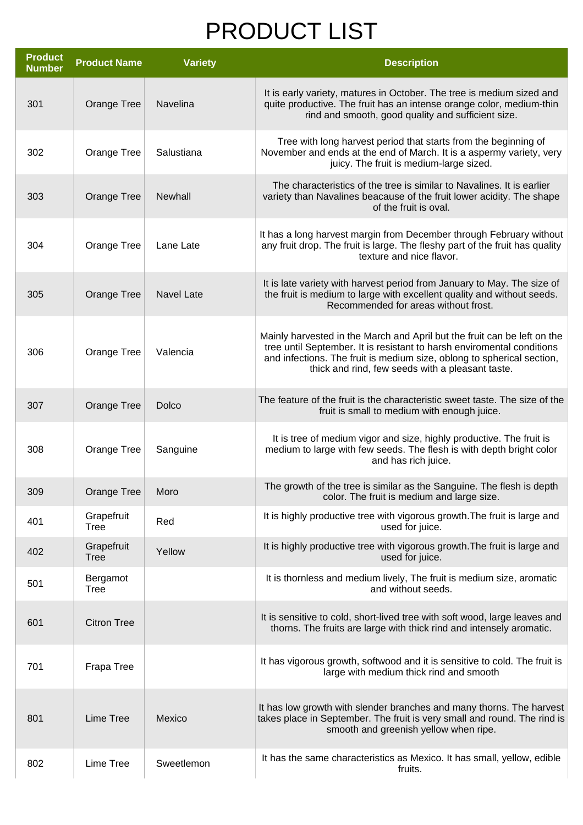## PRODUCT LIST

| <b>Product</b><br><b>Number</b> | <b>Product Name</b>       | <b>Variety</b>    | <b>Description</b>                                                                                                                                                                                                                                                               |
|---------------------------------|---------------------------|-------------------|----------------------------------------------------------------------------------------------------------------------------------------------------------------------------------------------------------------------------------------------------------------------------------|
| 301                             | Orange Tree               | Navelina          | It is early variety, matures in October. The tree is medium sized and<br>quite productive. The fruit has an intense orange color, medium-thin<br>rind and smooth, good quality and sufficient size.                                                                              |
| 302                             | Orange Tree               | Salustiana        | Tree with long harvest period that starts from the beginning of<br>November and ends at the end of March. It is a aspermy variety, very<br>juicy. The fruit is medium-large sized.                                                                                               |
| 303                             | Orange Tree               | Newhall           | The characteristics of the tree is similar to Navalines. It is earlier<br>variety than Navalines beacause of the fruit lower acidity. The shape<br>of the fruit is oval.                                                                                                         |
| 304                             | Orange Tree               | Lane Late         | It has a long harvest margin from December through February without<br>any fruit drop. The fruit is large. The fleshy part of the fruit has quality<br>texture and nice flavor.                                                                                                  |
| 305                             | Orange Tree               | <b>Navel Late</b> | It is late variety with harvest period from January to May. The size of<br>the fruit is medium to large with excellent quality and without seeds.<br>Recommended for areas without frost.                                                                                        |
| 306                             | Orange Tree               | Valencia          | Mainly harvested in the March and April but the fruit can be left on the<br>tree until September. It is resistant to harsh enviromental conditions<br>and infections. The fruit is medium size, oblong to spherical section,<br>thick and rind, few seeds with a pleasant taste. |
| 307                             | Orange Tree               | <b>Dolco</b>      | The feature of the fruit is the characteristic sweet taste. The size of the<br>fruit is small to medium with enough juice.                                                                                                                                                       |
| 308                             | Orange Tree               | Sanguine          | It is tree of medium vigor and size, highly productive. The fruit is<br>medium to large with few seeds. The flesh is with depth bright color<br>and has rich juice.                                                                                                              |
| 309                             | <b>Orange Tree</b>        | Moro              | The growth of the tree is similar as the Sanguine. The flesh is depth<br>color. The fruit is medium and large size.                                                                                                                                                              |
| 401                             | Grapefruit<br>Tree        | Red               | It is highly productive tree with vigorous growth. The fruit is large and<br>used for juice.                                                                                                                                                                                     |
| 402                             | Grapefruit<br><b>Tree</b> | Yellow            | It is highly productive tree with vigorous growth. The fruit is large and<br>used for juice.                                                                                                                                                                                     |
| 501                             | Bergamot<br><b>Tree</b>   |                   | It is thornless and medium lively, The fruit is medium size, aromatic<br>and without seeds.                                                                                                                                                                                      |
| 601                             | <b>Citron Tree</b>        |                   | It is sensitive to cold, short-lived tree with soft wood, large leaves and<br>thorns. The fruits are large with thick rind and intensely aromatic.                                                                                                                               |
| 701                             | Frapa Tree                |                   | It has vigorous growth, softwood and it is sensitive to cold. The fruit is<br>large with medium thick rind and smooth                                                                                                                                                            |
| 801                             | Lime Tree                 | Mexico            | It has low growth with slender branches and many thorns. The harvest<br>takes place in September. The fruit is very small and round. The rind is<br>smooth and greenish yellow when ripe.                                                                                        |
| 802                             | Lime Tree                 | Sweetlemon        | It has the same characteristics as Mexico. It has small, yellow, edible<br>fruits.                                                                                                                                                                                               |